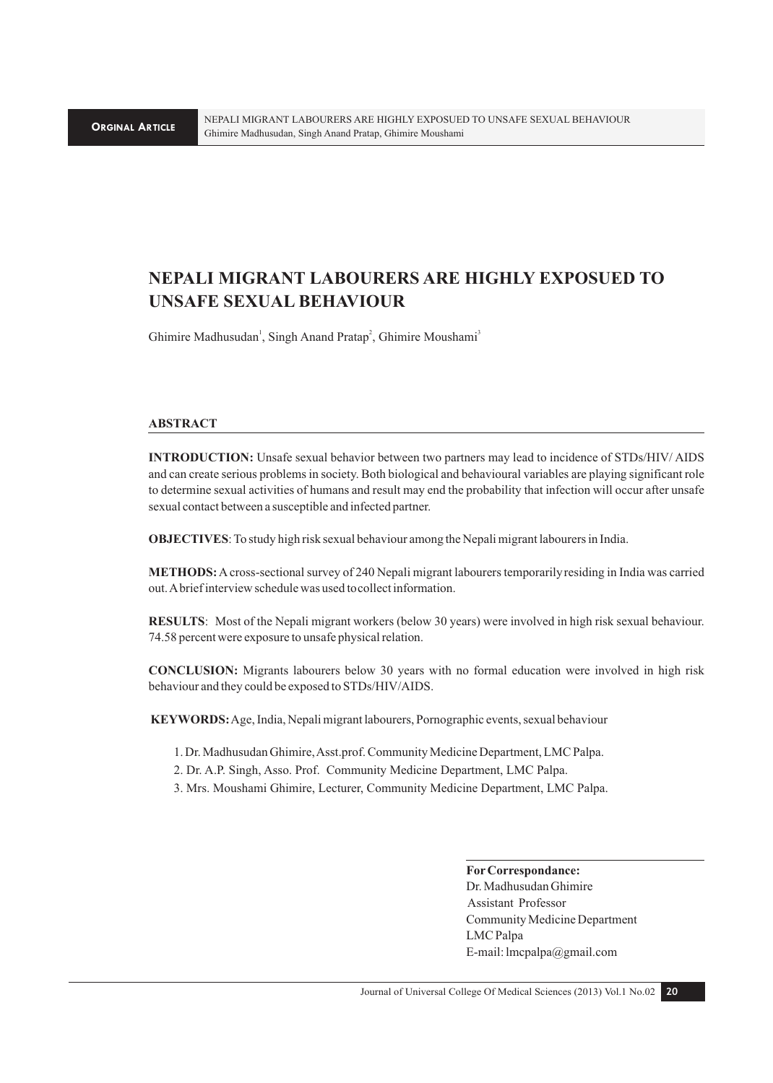# **NEPALI MIGRANT LABOURERS ARE HIGHLY EXPOSUED TO UNSAFE SEXUAL BEHAVIOUR**

Ghimire Madhusudan<sup>1</sup>, Singh Anand Pratap<sup>2</sup>, Ghimire Moushami<sup>3</sup>

## **ABSTRACT**

**INTRODUCTION:** Unsafe sexual behavior between two partners may lead to incidence of STDs/HIV/ AIDS and can create serious problems in society. Both biological and behavioural variables are playing significant role to determine sexual activities of humans and result may end the probability that infection will occur after unsafe sexual contact between a susceptible and infected partner.

**OBJECTIVES**: To study high risk sexual behaviour among the Nepali migrant labourers in India.

**METHODS:** A cross-sectional survey of 240 Nepali migrant labourers temporarily residing in India was carried out. A brief interview schedule was used tocollect information.

**RESULTS**: Most of the Nepali migrant workers (below 30 years) were involved in high risk sexual behaviour. 74.58 percent were exposure to unsafe physical relation.

**CONCLUSION:** Migrants labourers below 30 years with no formal education were involved in high risk behaviour and they could be exposed to STDs/HIV/AIDS.

 **KEYWORDS:** Age, India, Nepali migrant labourers, Pornographic events, sexual behaviour

- 1. Dr. Madhusudan Ghimire, Asst.prof. Community Medicine Department, LMC Palpa.
- 2. Dr. A.P. Singh, Asso. Prof. Community Medicine Department, LMC Palpa.
- 3. Mrs. Moushami Ghimire, Lecturer, Community Medicine Department, LMC Palpa.

**For Correspondance:**  Dr. Madhusudan Ghimire Assistant Professor

Community Medicine Department LMC Palpa E-mail: lmcpalpa@gmail.com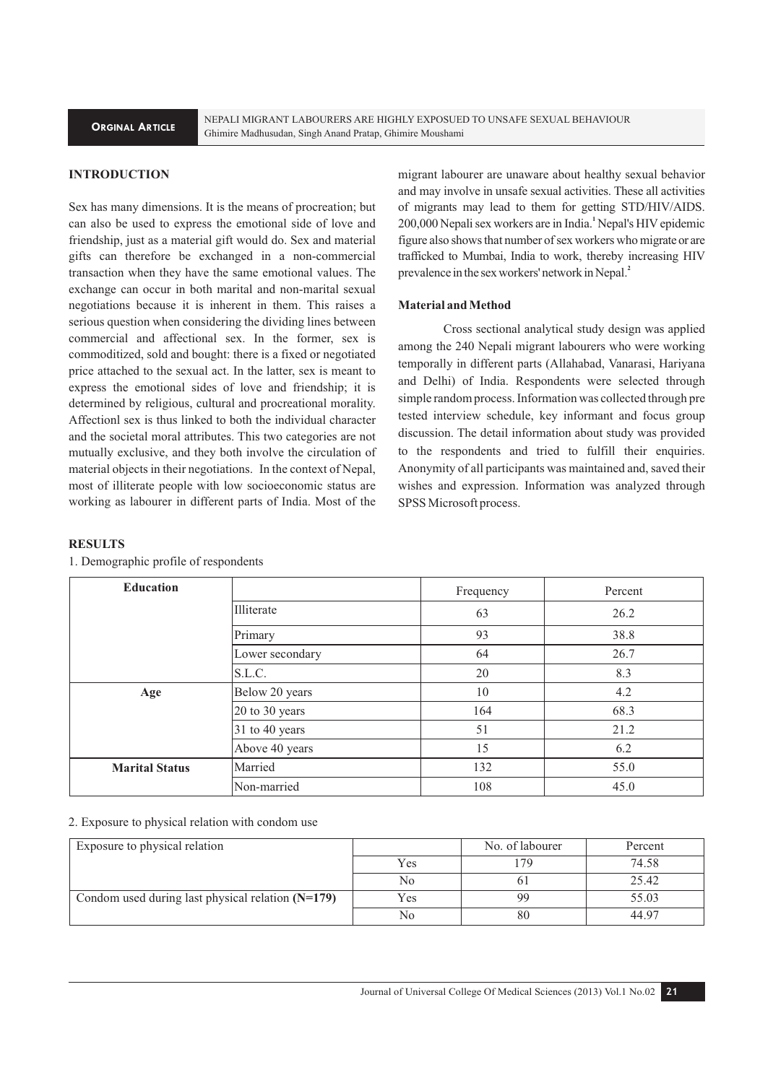NEPALI MIGRANT LABOURERS ARE HIGHLY EXPOSUED TO UNSAFE SEXUAL BEHAVIOUR Ghimire Madhusudan, Singh Anand Pratap, Ghimire Moushami

# **INTRODUCTION**

Sex has many dimensions. It is the means of procreation; but can also be used to express the emotional side of love and friendship, just as a material gift would do. Sex and material gifts can therefore be exchanged in a non-commercial transaction when they have the same emotional values. The exchange can occur in both marital and non-marital sexual negotiations because it is inherent in them. This raises a serious question when considering the dividing lines between commercial and affectional sex. In the former, sex is commoditized, sold and bought: there is a fixed or negotiated price attached to the sexual act. In the latter, sex is meant to express the emotional sides of love and friendship; it is determined by religious, cultural and procreational morality. Affectionl sex is thus linked to both the individual character and the societal moral attributes. This two categories are not mutually exclusive, and they both involve the circulation of material objects in their negotiations. In the context of Nepal, most of illiterate people with low socioeconomic status are working as labourer in different parts of India. Most of the

migrant labourer are unaware about healthy sexual behavior and may involve in unsafe sexual activities. These all activities of migrants may lead to them for getting STD/HIV/AIDS. **1** 200,000 Nepali sex workers are in India. Nepal's HIV epidemic figure also shows that number of sex workers who migrate or are trafficked to Mumbai, India to work, thereby increasing HIV **2** prevalence in the sex workers' network in Nepal.

#### **Material and Method**

Cross sectional analytical study design was applied among the 240 Nepali migrant labourers who were working temporally in different parts (Allahabad, Vanarasi, Hariyana and Delhi) of India. Respondents were selected through simple random process. Information was collected through pre tested interview schedule, key informant and focus group discussion. The detail information about study was provided to the respondents and tried to fulfill their enquiries. Anonymity of all participants was maintained and, saved their wishes and expression. Information was analyzed through SPSS Microsoft process.

#### **RESULTS**

1. Demographic profile of respondents

| <b>Education</b>      |                 | Frequency | Percent |
|-----------------------|-----------------|-----------|---------|
|                       | Illiterate      | 63        | 26.2    |
|                       | Primary         | 93        | 38.8    |
|                       | Lower secondary | 64        | 26.7    |
|                       | S.L.C.          | 20        | 8.3     |
| Age                   | Below 20 years  | 10        | 4.2     |
|                       | 20 to 30 years  | 164       | 68.3    |
|                       | 31 to 40 years  | 51        | 21.2    |
|                       | Above 40 years  | 15        | 6.2     |
| <b>Marital Status</b> | Married         | 132       | 55.0    |
|                       | Non-married     | 108       | 45.0    |

#### 2. Exposure to physical relation with condom use

| Exposure to physical relation                       |              | No. of labourer | Percent        |
|-----------------------------------------------------|--------------|-----------------|----------------|
|                                                     | $V_{\rm CS}$ | 79              | 74.58          |
|                                                     | No           |                 | 25.42          |
| Condom used during last physical relation $(N=179)$ | Yes          | 99              | 55.03          |
|                                                     | No           | 80              | $44.9^{\circ}$ |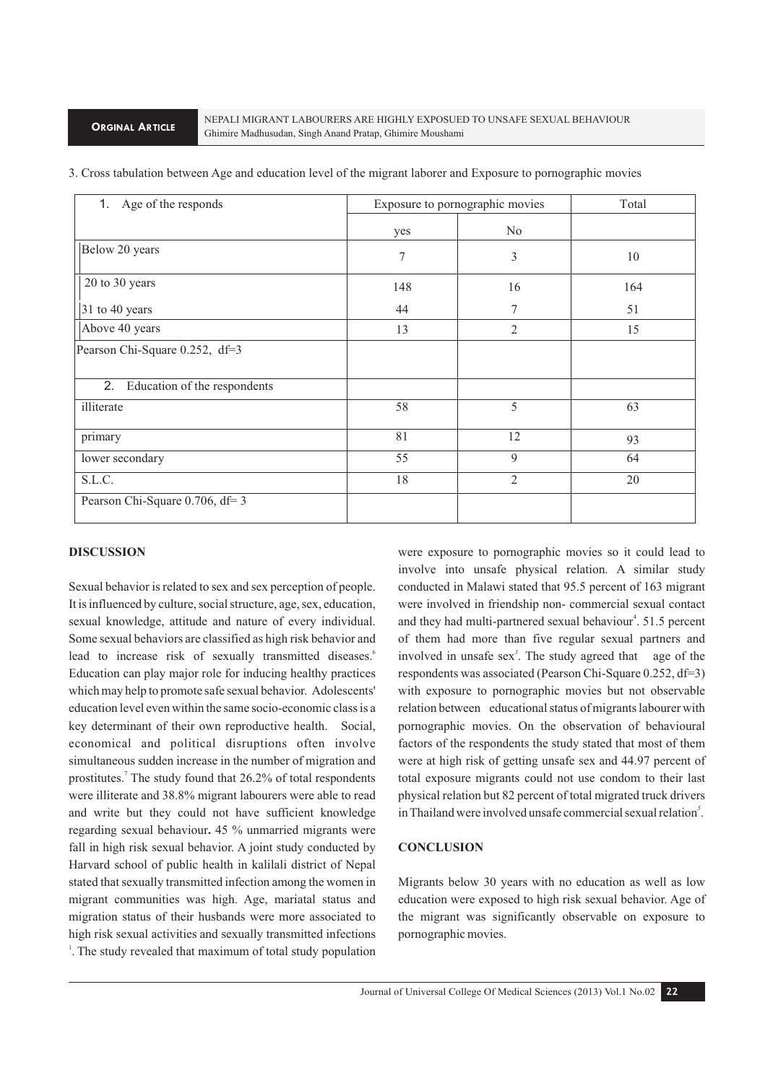| 1. Age of the responds             | Exposure to pornographic movies |                | Total |
|------------------------------------|---------------------------------|----------------|-------|
|                                    | yes                             | N <sub>0</sub> |       |
| Below 20 years                     | 7                               | 3              | 10    |
| 20 to 30 years                     | 148                             | 16             | 164   |
| 31 to 40 years                     | 44                              | 7              | 51    |
| Above 40 years                     | 13                              | $\overline{2}$ | 15    |
| Pearson Chi-Square 0.252, df=3     |                                 |                |       |
| 2.<br>Education of the respondents |                                 |                |       |
| illiterate                         | 58                              | 5              | 63    |
| primary                            | 81                              | 12             | 93    |
| lower secondary                    | 55                              | 9              | 64    |
| S.L.C.                             | 18                              | 2              | 20    |
| Pearson Chi-Square 0.706, df= 3    |                                 |                |       |

3. Cross tabulation between Age and education level of the migrant laborer and Exposure to pornographic movies

#### **DISCUSSION**

Sexual behavior is related to sex and sex perception of people. It is influenced by culture, social structure, age, sex, education, sexual knowledge, attitude and nature of every individual. Some sexual behaviors are classified as high risk behavior and lead to increase risk of sexually transmitted diseases.<sup>6</sup> Education can play major role for inducing healthy practices which may help to promote safe sexual behavior. Adolescents' education level even within the same socio-economic class is a key determinant of their own reproductive health. Social, economical and political disruptions often involve simultaneous sudden increase in the number of migration and prostitutes.<sup>7</sup> The study found that 26.2% of total respondents were illiterate and 38.8% migrant labourers were able to read and write but they could not have sufficient knowledge regarding sexual behaviour**.** 45 % unmarried migrants were fall in high risk sexual behavior. A joint study conducted by Harvard school of public health in kalilali district of Nepal stated that sexually transmitted infection among the women in migrant communities was high. Age, mariatal status and migration status of their husbands were more associated to high risk sexual activities and sexually transmitted infections <sup>1</sup>. The study revealed that maximum of total study population

were exposure to pornographic movies so it could lead to involve into unsafe physical relation. A similar study conducted in Malawi stated that 95.5 percent of 163 migrant were involved in friendship non- commercial sexual contact and they had multi-partnered sexual behaviour<sup>4</sup>. 51.5 percent of them had more than five regular sexual partners and involved in unsafe sex<sup>3</sup>. The study agreed that age of the respondents was associated (Pearson Chi-Square 0.252, df=3) with exposure to pornographic movies but not observable relation between educational status of migrants labourer with pornographic movies. On the observation of behavioural factors of the respondents the study stated that most of them were at high risk of getting unsafe sex and 44.97 percent of total exposure migrants could not use condom to their last physical relation but 82 percent of total migrated truck drivers in Thailand were involved unsafe commercial sexual relation<sup>5</sup>.

#### **CONCLUSION**

Migrants below 30 years with no education as well as low education were exposed to high risk sexual behavior. Age of the migrant was significantly observable on exposure to pornographic movies.